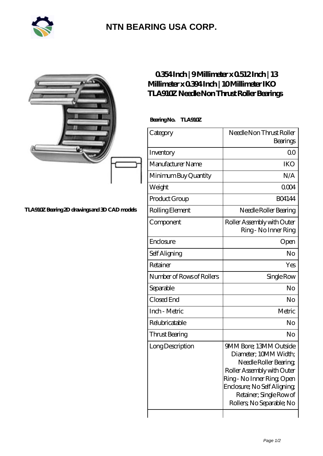

## **[NTN BEARING USA CORP.](https://m.2rw-antriebselemente.de)**

|                                               | 0354Inch   9Millimeter x 0512Inch   13<br>Millimeter x 0394 Inch   10 Millimeter IKO<br><b>TLA910Z Needle Non Thrust Roller Bearings</b> |                                                                                                                                                                                                                             |
|-----------------------------------------------|------------------------------------------------------------------------------------------------------------------------------------------|-----------------------------------------------------------------------------------------------------------------------------------------------------------------------------------------------------------------------------|
|                                               | BearingNo.<br><b>TLA910Z</b>                                                                                                             |                                                                                                                                                                                                                             |
|                                               | Category                                                                                                                                 | Needle Non Thrust Roller<br>Bearings                                                                                                                                                                                        |
|                                               | Inventory                                                                                                                                | 0 <sub>0</sub>                                                                                                                                                                                                              |
|                                               | Manufacturer Name                                                                                                                        | <b>IKO</b>                                                                                                                                                                                                                  |
|                                               | Minimum Buy Quantity                                                                                                                     | N/A                                                                                                                                                                                                                         |
|                                               | Weight                                                                                                                                   | 0004                                                                                                                                                                                                                        |
|                                               | Product Group                                                                                                                            | <b>BO4144</b>                                                                                                                                                                                                               |
| TLA910Z Bearing 2D drawings and 3D CAD models | Rolling Element                                                                                                                          | Needle Roller Bearing                                                                                                                                                                                                       |
|                                               | Component                                                                                                                                | Roller Assembly with Outer<br>Ring - No Inner Ring                                                                                                                                                                          |
|                                               | Enclosure                                                                                                                                | Open                                                                                                                                                                                                                        |
|                                               | Self Aligning                                                                                                                            | No                                                                                                                                                                                                                          |
|                                               | Retainer                                                                                                                                 | Yes                                                                                                                                                                                                                         |
|                                               | Number of Rows of Rollers                                                                                                                | Single Row                                                                                                                                                                                                                  |
|                                               | Separable                                                                                                                                | No                                                                                                                                                                                                                          |
|                                               | Closed End                                                                                                                               | No                                                                                                                                                                                                                          |
|                                               | Inch - Metric                                                                                                                            | Metric                                                                                                                                                                                                                      |
|                                               | Relubricatable                                                                                                                           | No                                                                                                                                                                                                                          |
|                                               | Thrust Bearing                                                                                                                           | No                                                                                                                                                                                                                          |
|                                               | Long Description                                                                                                                         | 9MM Bore; 13MM Outside<br>Diameter; 10MM Width;<br>Needle Roller Bearing<br>Roller Assembly with Outer<br>Ring - No Inner Ring, Open<br>Enclosure; No Self Aligning<br>Retainer; Single Row of<br>Rollers, No Separable, No |

 $\overline{\phantom{a}}$ 

 $\mathbf{I}$